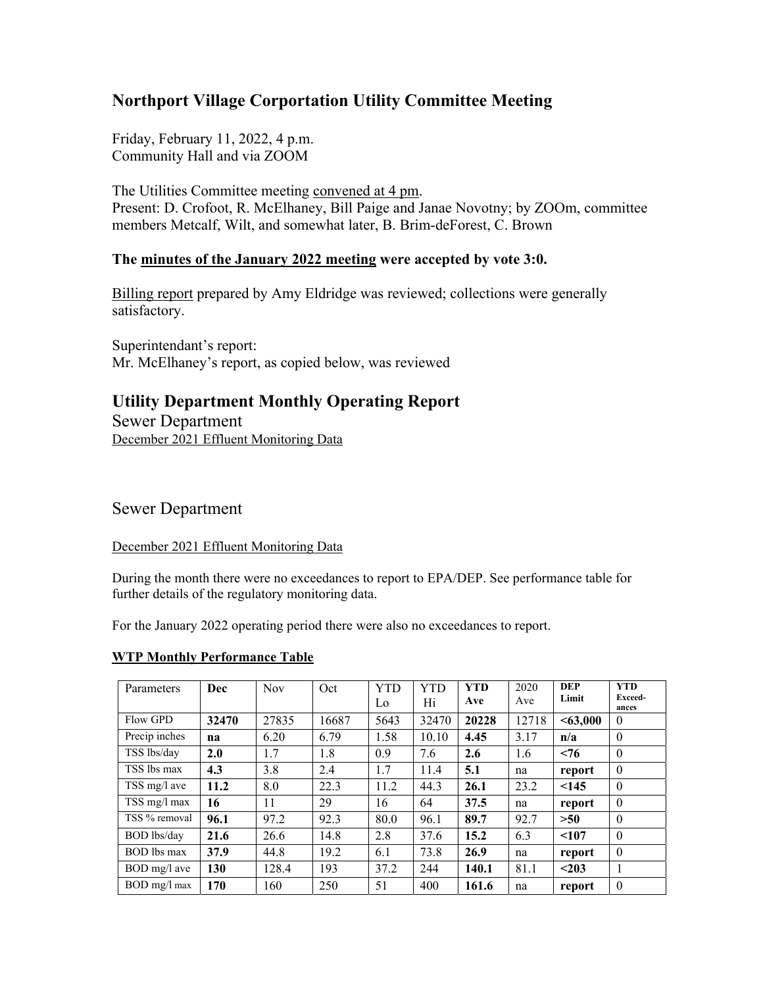# **Northport Village Corportation Utility Committee Meeting**

Friday, February 11, 2022, 4 p.m. Community Hall and via ZOOM

The Utilities Committee meeting convened at 4 pm. Present: D. Crofoot, R. McElhaney, Bill Paige and Janae Novotny; by ZOOm, committee members Metcalf, Wilt, and somewhat later, B. Brim-deForest, C. Brown

#### **The minutes of the January 2022 meeting were accepted by vote 3:0.**

Billing report prepared by Amy Eldridge was reviewed; collections were generally satisfactory.

Superintendant's report: Mr. McElhaney's report, as copied below, was reviewed

## **Utility Department Monthly Operating Report**

Sewer Department December 2021 Effluent Monitoring Data

### Sewer Department

#### December 2021 Effluent Monitoring Data

During the month there were no exceedances to report to EPA/DEP. See performance table for further details of the regulatory monitoring data.

For the January 2022 operating period there were also no exceedances to report.

#### **WTP Monthly Performance Table**

| Parameters         | Dec   | <b>Nov</b> | Oct   | <b>YTD</b><br>Lo | YTD<br>Hi | <b>YTD</b><br>Ave | 2020<br>Ave | <b>DEP</b><br>Limit | <b>YTD</b><br>Exceed-<br>ances |
|--------------------|-------|------------|-------|------------------|-----------|-------------------|-------------|---------------------|--------------------------------|
| Flow GPD           | 32470 | 27835      | 16687 | 5643             | 32470     | 20228             | 12718       | < 63,000            | $\theta$                       |
| Precip inches      | na    | 6.20       | 6.79  | 1.58             | 10.10     | 4.45              | 3.17        | n/a                 | $\theta$                       |
| TSS lbs/day        | 2.0   | 1.7        | 1.8   | 0.9              | 7.6       | 2.6               | 1.6         | < 76                | $\theta$                       |
| TSS lbs max        | 4.3   | 3.8        | 2.4   | 1.7              | 11.4      | 5.1               | na          | report              | $\theta$                       |
| TSS mg/l ave       | 11.2  | 8.0        | 22.3  | 11.2             | 44.3      | 26.1              | 23.2        | < 145               | $\theta$                       |
| TSS mg/l max       | 16    | 11         | 29    | 16               | 64        | 37.5              | na          | report              | $\theta$                       |
| TSS % removal      | 96.1  | 97.2       | 92.3  | 80.0             | 96.1      | 89.7              | 92.7        | >50                 | $\theta$                       |
| BOD lbs/day        | 21.6  | 26.6       | 14.8  | 2.8              | 37.6      | 15.2              | 6.3         | < 107               | $\theta$                       |
| <b>BOD</b> lbs max | 37.9  | 44.8       | 19.2  | 6.1              | 73.8      | 26.9              | na          | report              | $\theta$                       |
| BOD mg/l ave       | 130   | 128.4      | 193   | 37.2             | 244       | 140.1             | 81.1        | $203$               |                                |
| BOD mg/l max       | 170   | 160        | 250   | 51               | 400       | 161.6             | na          | report              | $\theta$                       |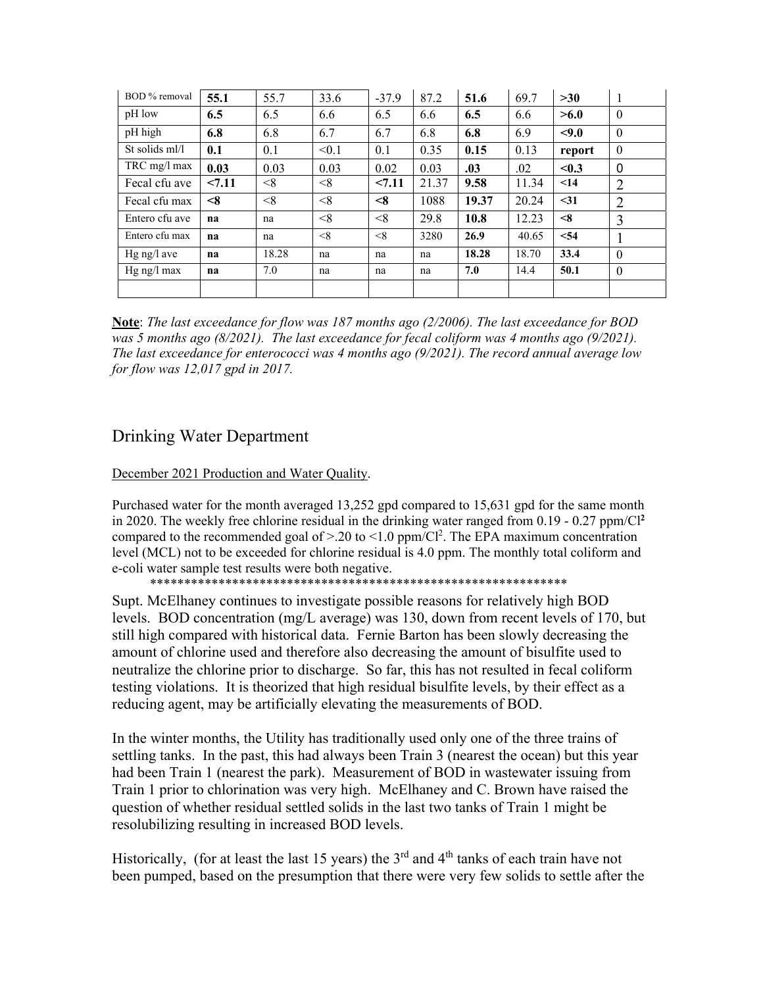| BOD % removal  | 55.1     | 55.7  | 33.6  | $-37.9$  | 87.2  | 51.6  | 69.7  | >30       | -1             |
|----------------|----------|-------|-------|----------|-------|-------|-------|-----------|----------------|
| pH low         | 6.5      | 6.5   | 6.6   | 6.5      | 6.6   | 6.5   | 6.6   | >6.0      | $\mathbf{0}$   |
| pH high        | 6.8      | 6.8   | 6.7   | 6.7      | 6.8   | 6.8   | 6.9   | < 9.0     | $\theta$       |
| St solids ml/l | 0.1      | 0.1   | < 0.1 | 0.1      | 0.35  | 0.15  | 0.13  | report    | $\theta$       |
| $TRC$ mg/l max | 0.03     | 0.03  | 0.03  | 0.02     | 0.03  | .03   | .02   | < 0.3     | $\mathbf{0}$   |
| Fecal cfu ave  | < 7.11   | < 8   | < 8   | 27.11    | 21.37 | 9.58  | 11.34 | $\leq$ 14 | $\overline{2}$ |
| Fecal cfu max  | $\leq 8$ | < 8   | < 8   | $<\!\!8$ | 1088  | 19.37 | 20.24 | $31$      | $\overline{2}$ |
| Entero cfu ave | na       | na    | < 8   | < 8      | 29.8  | 10.8  | 12.23 | $\leq 8$  | 3              |
| Entero cfu max | na       | na    | < 8   | < 8      | 3280  | 26.9  | 40.65 | < 54      |                |
| $Hg$ ng/l ave  | na       | 18.28 | na    | na       | na    | 18.28 | 18.70 | 33.4      | $\theta$       |
| $Hg$ ng/l max  | na       | 7.0   | na    | na       | na    | 7.0   | 14.4  | 50.1      | $\theta$       |
|                |          |       |       |          |       |       |       |           |                |

**Note**: *The last exceedance for flow was 187 months ago (2/2006). The last exceedance for BOD was 5 months ago (8/2021). The last exceedance for fecal coliform was 4 months ago (9/2021). The last exceedance for enterococci was 4 months ago (9/2021). The record annual average low for flow was 12,017 gpd in 2017.* 

## Drinking Water Department

December 2021 Production and Water Quality.

Purchased water for the month averaged 13,252 gpd compared to 15,631 gpd for the same month in 2020. The weekly free chlorine residual in the drinking water ranged from 0.19 - 0.27 ppm/Cl**<sup>2</sup>** compared to the recommended goal of  $> 20$  to  $\leq 1.0$  ppm/Cl<sup>2</sup>. The EPA maximum concentration level (MCL) not to be exceeded for chlorine residual is 4.0 ppm. The monthly total coliform and e-coli water sample test results were both negative.

\*\*\*\*\*\*\*\*\*\*\*\*\*\*\*\*\*\*\*\*\*\*\*\*\*\*\*\*\*\*\*\*\*\*\*\*\*\*\*\*\*\*\*\*\*\*\*\*\*\*\*\*\*\*\*\*\*\*\*\*\*

Supt. McElhaney continues to investigate possible reasons for relatively high BOD levels. BOD concentration (mg/L average) was 130, down from recent levels of 170, but still high compared with historical data. Fernie Barton has been slowly decreasing the amount of chlorine used and therefore also decreasing the amount of bisulfite used to neutralize the chlorine prior to discharge. So far, this has not resulted in fecal coliform testing violations. It is theorized that high residual bisulfite levels, by their effect as a reducing agent, may be artificially elevating the measurements of BOD.

In the winter months, the Utility has traditionally used only one of the three trains of settling tanks. In the past, this had always been Train 3 (nearest the ocean) but this year had been Train 1 (nearest the park). Measurement of BOD in wastewater issuing from Train 1 prior to chlorination was very high. McElhaney and C. Brown have raised the question of whether residual settled solids in the last two tanks of Train 1 might be resolubilizing resulting in increased BOD levels.

Historically, (for at least the last 15 years) the  $3<sup>rd</sup>$  and  $4<sup>th</sup>$  tanks of each train have not been pumped, based on the presumption that there were very few solids to settle after the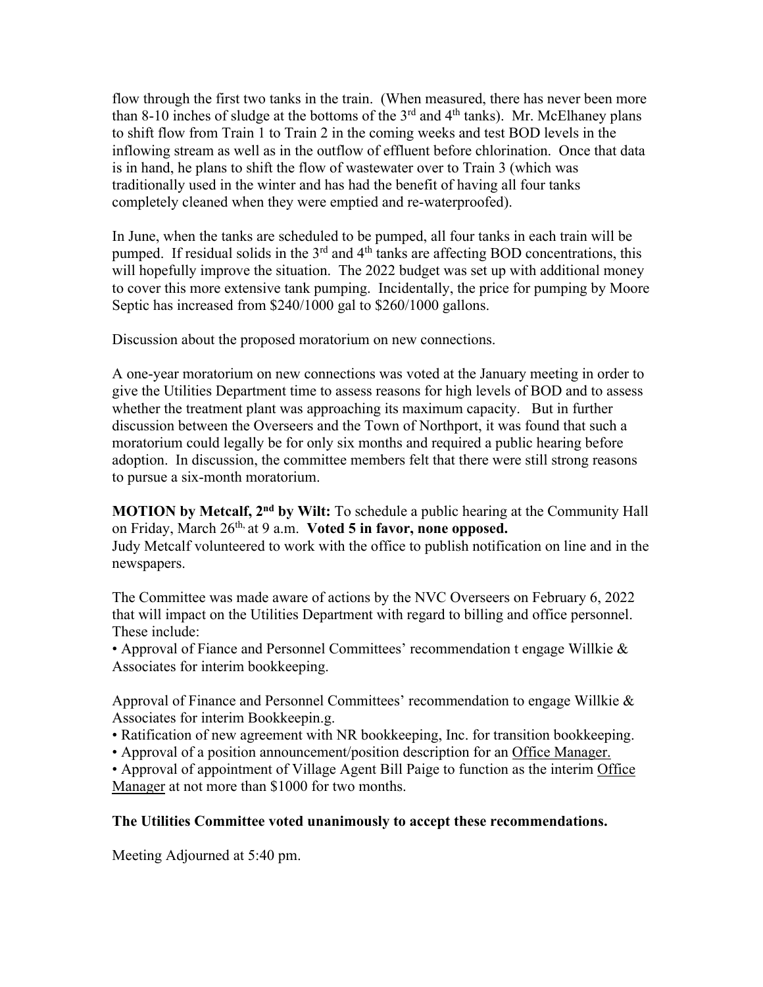flow through the first two tanks in the train. (When measured, there has never been more than 8-10 inches of sludge at the bottoms of the  $3<sup>rd</sup>$  and  $4<sup>th</sup>$  tanks). Mr. McElhaney plans to shift flow from Train 1 to Train 2 in the coming weeks and test BOD levels in the inflowing stream as well as in the outflow of effluent before chlorination. Once that data is in hand, he plans to shift the flow of wastewater over to Train 3 (which was traditionally used in the winter and has had the benefit of having all four tanks completely cleaned when they were emptied and re-waterproofed).

In June, when the tanks are scheduled to be pumped, all four tanks in each train will be pumped. If residual solids in the  $3<sup>rd</sup>$  and  $4<sup>th</sup>$  tanks are affecting BOD concentrations, this will hopefully improve the situation. The 2022 budget was set up with additional money to cover this more extensive tank pumping. Incidentally, the price for pumping by Moore Septic has increased from \$240/1000 gal to \$260/1000 gallons.

Discussion about the proposed moratorium on new connections.

A one-year moratorium on new connections was voted at the January meeting in order to give the Utilities Department time to assess reasons for high levels of BOD and to assess whether the treatment plant was approaching its maximum capacity. But in further discussion between the Overseers and the Town of Northport, it was found that such a moratorium could legally be for only six months and required a public hearing before adoption. In discussion, the committee members felt that there were still strong reasons to pursue a six-month moratorium.

**MOTION by Metcalf, 2<sup>nd</sup> by Wilt:** To schedule a public hearing at the Community Hall on Friday, March 26th, at 9 a.m. **Voted 5 in favor, none opposed.**

Judy Metcalf volunteered to work with the office to publish notification on line and in the newspapers.

The Committee was made aware of actions by the NVC Overseers on February 6, 2022 that will impact on the Utilities Department with regard to billing and office personnel. These include:

• Approval of Fiance and Personnel Committees' recommendation t engage Willkie & Associates for interim bookkeeping.

Approval of Finance and Personnel Committees' recommendation to engage Willkie  $\&$ Associates for interim Bookkeepin.g.

• Ratification of new agreement with NR bookkeeping, Inc. for transition bookkeeping.

• Approval of a position announcement/position description for an Office Manager.

• Approval of appointment of Village Agent Bill Paige to function as the interim Office Manager at not more than \$1000 for two months.

#### **The Utilities Committee voted unanimously to accept these recommendations.**

Meeting Adjourned at 5:40 pm.